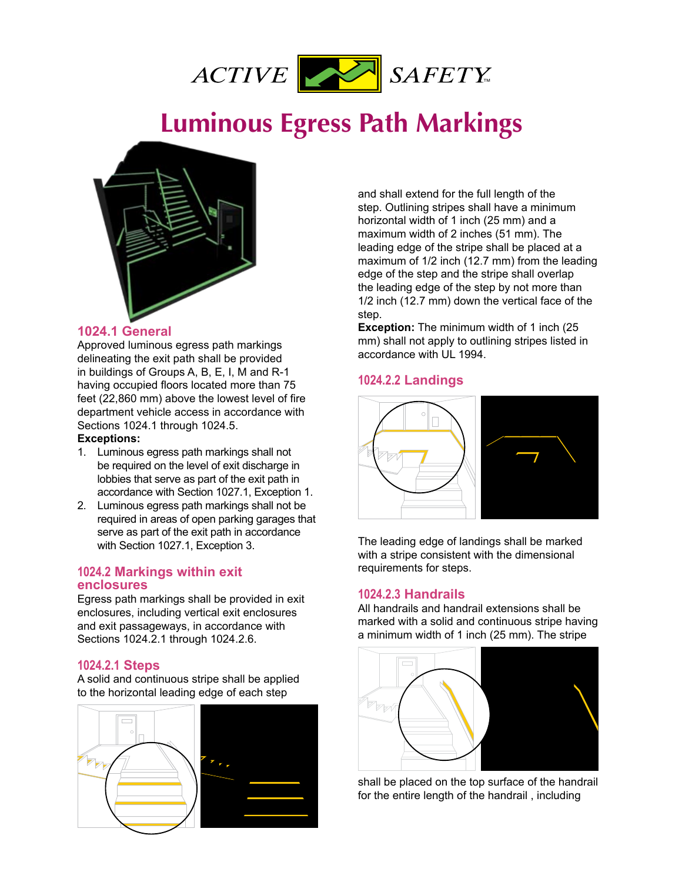

# **Example 20 For Design Markings** Public Information **Luminous Egress Path Markings**



# **1024.1 General**

Approved luminous egress path markings delineating the exit path shall be provided in buildings of Groups A, B, E, I, M and R-1 having occupied floors located more than 75 feet (22,860 mm) above the lowest level of fire department vehicle access in accordance with Sections 1024.1 through 1024.5.

#### Exceptions:

- 1. Luminous egress path markings shall not be required on the level of exit discharge in lobbies that serve as part of the exit path in accordance with Section 1027.1, Exception 1.
- 2. Luminous egress path markings shall not be required in areas of open parking garages that serve as part of the exit path in accordance with Section 1027.1, Exception 3.

### **1024.2 Markings within exit enclosures**

Egress path markings shall be provided in exit enclosures, including vertical exit enclosures and exit passageways, in accordance with Sections 1024.2.1 through 1024.2.6.

### **1024.2.1 Steps**

A solid and continuous stripe shall be applied to the horizontal leading edge of each step



and shall extend for the full length of the step. Outlining stripes shall have a minimum horizontal width of 1 inch (25 mm) and a maximum width of 2 inches (51 mm). The leading edge of the stripe shall be placed at a maximum of  $1/2$  inch (12.7 mm) from the leading edge of the step and the stripe shall overlap the leading edge of the step by not more than  $1/2$  inch (12.7 mm) down the vertical face of the step.

**Exception:** The minimum width of 1 inch (25) mm) shall not apply to outlining stripes listed in accordance with UL 1994.

### **1024.2.2 Landings**



The leading edge of landings shall be marked with a stripe consistent with the dimensional requirements for steps.

# **1024.2.3 Handrails**

All handrails and handrail extensions shall be marked with a solid and continuous stripe having a minimum width of 1 inch (25 mm). The stripe



shall be placed on the top surface of the handrail for the entire length of the handrail , including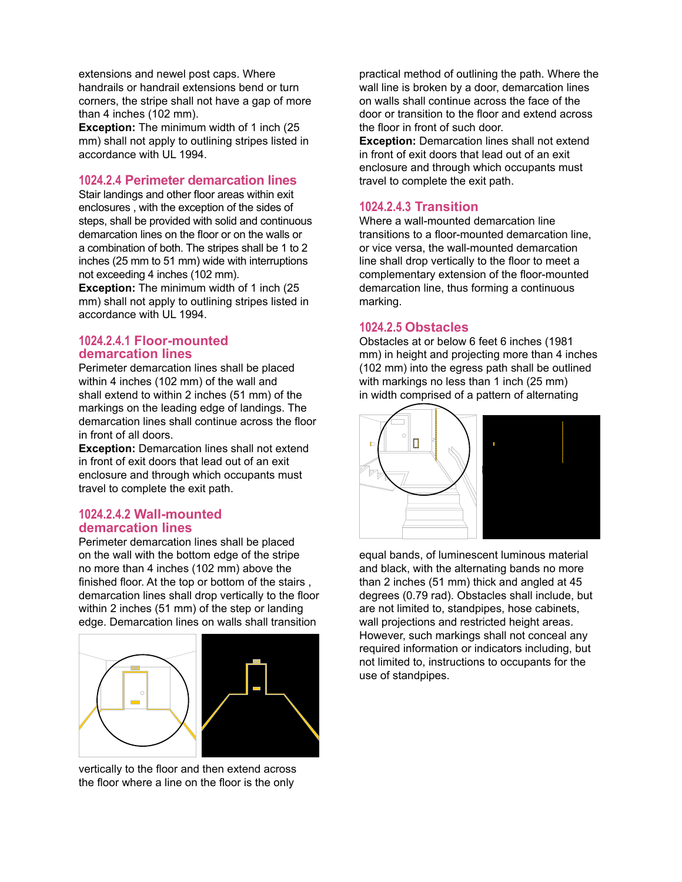extensions and newel post caps. Where handrails or handrail extensions bend or turn corners, the stripe shall not have a gap of more than 4 inches (102 mm).

**Exception:** The minimum width of 1 inch (25 mm) shall not apply to outlining stripes listed in accordance with UL 1994.

## **1024.2.4 Perimeter demarcation lines**

Stair landings and other floor areas within exit enclosures , with the exception of the sides of steps, shall be provided with solid and continuous demarcation lines on the floor or on the walls or a combination of both. The stripes shall be 1 to 2 inches (25 mm to 51 mm) wide with interruptions not exceeding 4 inches (102 mm).

**Exception:** The minimum width of 1 inch (25) mm) shall not apply to outlining stripes listed in accordance with UL 1994.

#### **1024.2.4.1 Floor-mounted demarcation lines**

Perimeter demarcation lines shall be placed within 4 inches (102 mm) of the wall and shall extend to within 2 inches  $(51$  mm) of the markings on the leading edge of landings. The demarcation lines shall continue across the floor in front of all doors.

**Exception:** Demarcation lines shall not extend in front of exit doors that lead out of an exit enclosure and through which occupants must travel to complete the exit path.

### **1024.2.4.2 Wall-mounted demarcation lines**

Perimeter demarcation lines shall be placed on the wall with the bottom edge of the stripe no more than 4 inches (102 mm) above the finished floor. At the top or bottom of the stairs, demarcation lines shall drop vertically to the floor within 2 inches  $(51 \text{ mm})$  of the step or landing edge. Demarcation lines on walls shall transition



vertically to the floor and then extend across the floor where a line on the floor is the only

practical method of outlining the path. Where the wall line is broken by a door, demarcation lines on walls shall continue across the face of the door or transition to the floor and extend across the floor in front of such door

**Exception:** Demarcation lines shall not extend in front of exit doors that lead out of an exit enclosure and through which occupants must travel to complete the exit path.

# **1024.2.4.3 Transition**

Where a wall-mounted demarcation line transitions to a floor-mounted demarcation line. or vice versa, the wall-mounted demarcation line shall drop vertically to the floor to meet a complementary extension of the floor-mounted demarcation line, thus forming a continuous marking.

## **1024.2.5 Obstacles**

Obstacles at or below 6 feet 6 inches (1981 mm) in height and projecting more than 4 inches (102 mm) into the egress path shall be outlined with markings no less than 1 inch  $(25 \text{ mm})$ in width comprised of a pattern of alternating



equal bands, of luminescent luminous material and black, with the alternating bands no more than 2 inches  $(51 \text{ mm})$  thick and angled at  $45$ degrees (0.79 rad). Obstacles shall include, but are not limited to, standpipes, hose cabinets, wall projections and restricted height areas. However, such markings shall not conceal any required information or indicators including, but not limited to, instructions to occupants for the use of standpipes.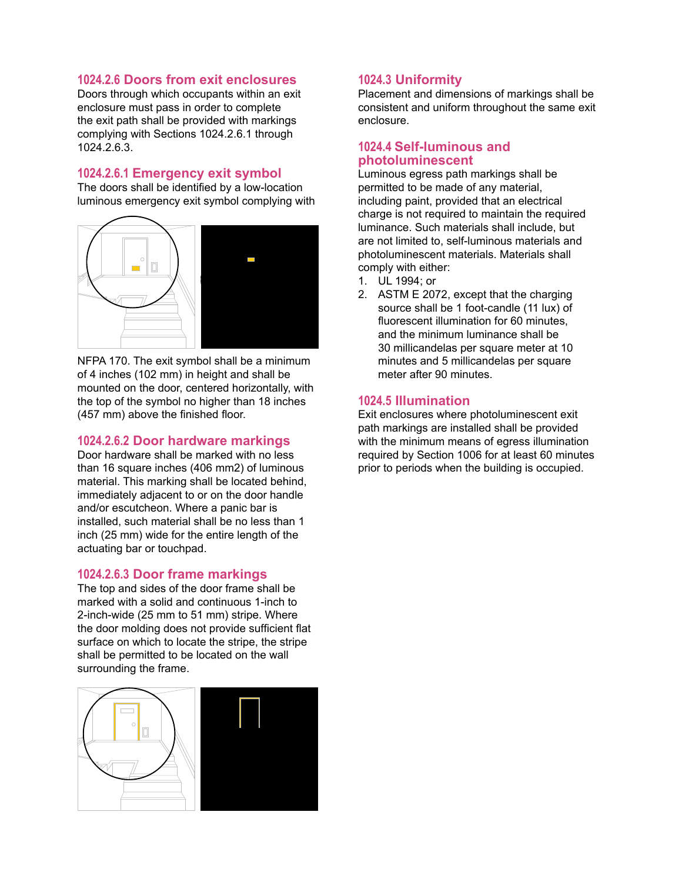# **1024.2.6 Doors from exit enclosures**

Doors through which occupants within an exit enclosure must pass in order to complete the exit path shall be provided with markings complying with Sections 1024.2.6.1 through 1024.2.6.3.

# **1024.2.6.1 Emergency exit symbol**

The doors shall be identified by a low-location luminous emergency exit symbol complying with



NFPA 170. The exit symbol shall be a minimum of 4 inches (102 mm) in height and shall be mounted on the door, centered horizontally, with the top of the symbol no higher than 18 inches (457 mm) above the finished floor.

# **1024.2.6.2 Door hardware markings**

Door hardware shall be marked with no less than 16 square inches (406 mm2) of luminous material. This marking shall be located behind, immediately adjacent to or on the door handle and/or escutcheon. Where a panic bar is installed, such material shall be no less than 1 inch (25 mm) wide for the entire length of the actuating bar or touchpad.

### **1024.2.6.3 Door frame markings**

The top and sides of the door frame shall be marked with a solid and continuous 1-inch to 2-inch-wide (25 mm to 51 mm) stripe. Where the door molding does not provide sufficient flat surface on which to locate the stripe, the stripe shall be permitted to be located on the wall surrounding the frame.



### **1024.3 Uniformity**

Placement and dimensions of markings shall be consistent and uniform throughout the same exit enclosure.

### **1024.4 Self-luminous and** photoluminescent

Luminous egress path markings shall be permitted to be made of any material, including paint, provided that an electrical charge is not required to maintain the required luminance. Such materials shall include, but are not limited to, self-luminous materials and photoluminescent materials. Materials shall comply with either:

- 1. UL 1994; or
- 2. ASTM E 2072, except that the charging source shall be 1 foot-candle (11 lux) of fluorescent illumination for 60 minutes. and the minimum luminance shall be 30 millicandelas per square meter at 10 minutes and 5 millicandelas per square meter after 90 minutes.

#### **1024.5 Illumination**

Exit enclosures where photoluminescent exit path markings are installed shall be provided with the minimum means of egress illumination required by Section 1006 for at least 60 minutes prior to periods when the building is occupied.